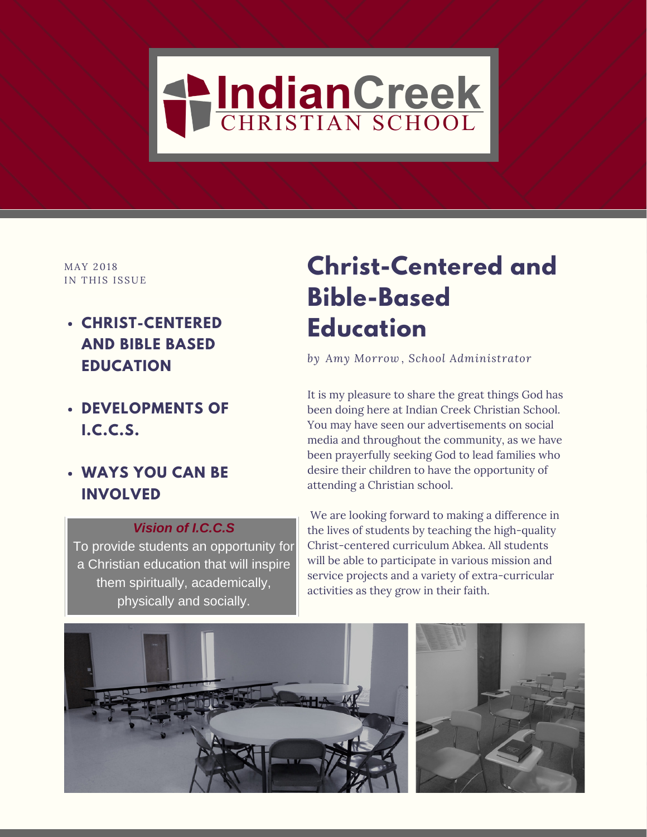

MAY 2018 IN THIS ISSUE

- **CHRIST-CENTERED AND BIBLE BASED EDUCATION**
- **DEVELOPMENTS OF I.C.C.S.**
- **WAYS YOU CAN BE INVOLVED**

### *Vision of I.C.C.S*

To provide students an opportunity for a Christian education that will inspire them spiritually, academically, physically and socially.

## **Christ-Centered and Bible-Based Education**

*by Amy Morrow , School Administrator*

It is my pleasure to share the great things God has been doing here at Indian Creek Christian School. You may have seen our advertisements on social media and throughout the community, as we have been prayerfully seeking God to lead families who desire their children to have the opportunity of attending a Christian school.

We are looking forward to making a difference in the lives of students by teaching the high-quality Christ-centered curriculum Abkea. All students will be able to participate in various mission and service projects and a variety of extra-curricular activities as they grow in their faith.